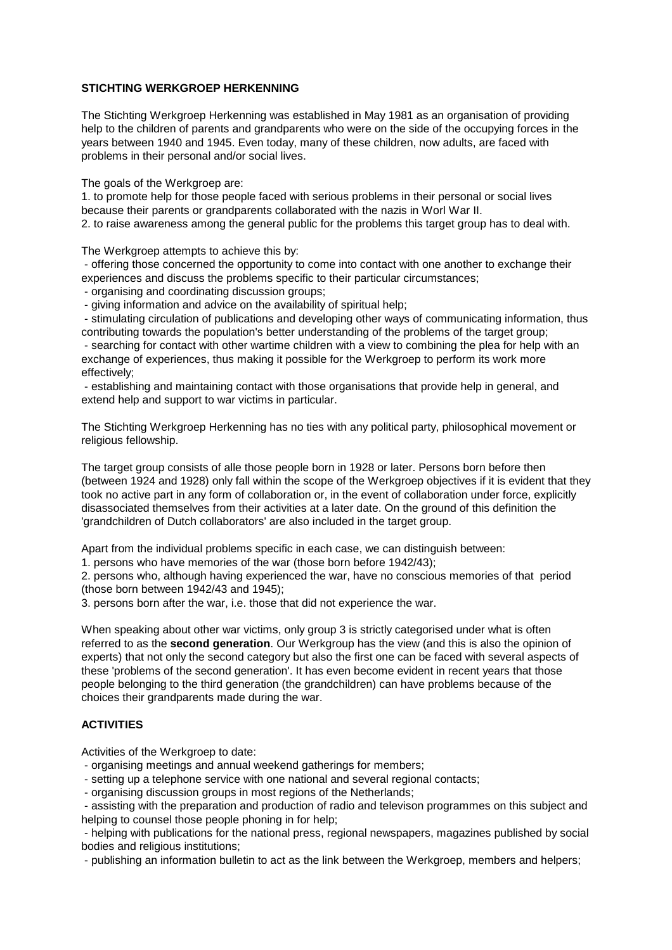### **STICHTING WERKGROEP HERKENNING**

The Stichting Werkgroep Herkenning was established in May 1981 as an organisation of providing help to the children of parents and grandparents who were on the side of the occupying forces in the years between 1940 and 1945. Even today, many of these children, now adults, are faced with problems in their personal and/or social lives.

The goals of the Werkgroep are:

1. to promote help for those people faced with serious problems in their personal or social lives because their parents or grandparents collaborated with the nazis in Worl War II. 2. to raise awareness among the general public for the problems this target group has to deal with.

The Werkgroep attempts to achieve this by:

 - offering those concerned the opportunity to come into contact with one another to exchange their experiences and discuss the problems specific to their particular circumstances;

- organising and coordinating discussion groups;

- giving information and advice on the availability of spiritual help;

 - stimulating circulation of publications and developing other ways of communicating information, thus contributing towards the population's better understanding of the problems of the target group;

 - searching for contact with other wartime children with a view to combining the plea for help with an exchange of experiences, thus making it possible for the Werkgroep to perform its work more effectively;

 - establishing and maintaining contact with those organisations that provide help in general, and extend help and support to war victims in particular.

The Stichting Werkgroep Herkenning has no ties with any political party, philosophical movement or religious fellowship.

The target group consists of alle those people born in 1928 or later. Persons born before then (between 1924 and 1928) only fall within the scope of the Werkgroep objectives if it is evident that they took no active part in any form of collaboration or, in the event of collaboration under force, explicitly disassociated themselves from their activities at a later date. On the ground of this definition the 'grandchildren of Dutch collaborators' are also included in the target group.

Apart from the individual problems specific in each case, we can distinguish between:

1. persons who have memories of the war (those born before 1942/43);

2. persons who, although having experienced the war, have no conscious memories of that period (those born between 1942/43 and 1945);

3. persons born after the war, i.e. those that did not experience the war.

When speaking about other war victims, only group 3 is strictly categorised under what is often referred to as the **second generation**. Our Werkgroup has the view (and this is also the opinion of experts) that not only the second category but also the first one can be faced with several aspects of these 'problems of the second generation'. It has even become evident in recent years that those people belonging to the third generation (the grandchildren) can have problems because of the choices their grandparents made during the war.

# **ACTIVITIES**

Activities of the Werkgroep to date:

- organising meetings and annual weekend gatherings for members;
- setting up a telephone service with one national and several regional contacts;
- organising discussion groups in most regions of the Netherlands;

 - assisting with the preparation and production of radio and televison programmes on this subject and helping to counsel those people phoning in for help;

 - helping with publications for the national press, regional newspapers, magazines published by social bodies and religious institutions;

- publishing an information bulletin to act as the link between the Werkgroep, members and helpers;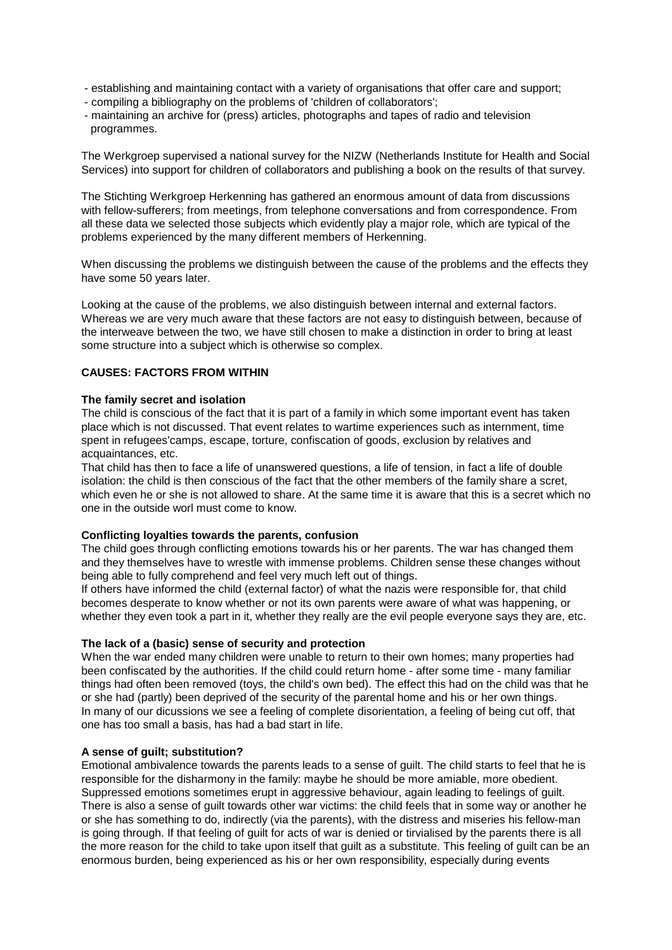- establishing and maintaining contact with a variety of organisations that offer care and support;
- compiling a bibliography on the problems of 'children of collaborators';
- maintaining an archive for (press) articles, photographs and tapes of radio and television programmes.

The Werkgroep supervised a national survey for the NIZW (Netherlands Institute for Health and Social Services) into support for children of collaborators and publishing a book on the results of that survey.

The Stichting Werkgroep Herkenning has gathered an enormous amount of data from discussions with fellow-sufferers; from meetings, from telephone conversations and from correspondence. From all these data we selected those subjects which evidently play a major role, which are typical of the problems experienced by the many different members of Herkenning.

When discussing the problems we distinguish between the cause of the problems and the effects they have some 50 years later.

Looking at the cause of the problems, we also distinguish between internal and external factors. Whereas we are very much aware that these factors are not easy to distinguish between, because of the interweave between the two, we have still chosen to make a distinction in order to bring at least some structure into a subject which is otherwise so complex.

### **CAUSES: FACTORS FROM WITHIN**

### **The family secret and isolation**

The child is conscious of the fact that it is part of a family in which some important event has taken place which is not discussed. That event relates to wartime experiences such as internment, time spent in refugees'camps, escape, torture, confiscation of goods, exclusion by relatives and acquaintances, etc.

That child has then to face a life of unanswered questions, a life of tension, in fact a life of double isolation: the child is then conscious of the fact that the other members of the family share a scret, which even he or she is not allowed to share. At the same time it is aware that this is a secret which no one in the outside worl must come to know.

### **Conflicting loyalties towards the parents, confusion**

The child goes through conflicting emotions towards his or her parents. The war has changed them and they themselves have to wrestle with immense problems. Children sense these changes without being able to fully comprehend and feel very much left out of things.

If others have informed the child (external factor) of what the nazis were responsible for, that child becomes desperate to know whether or not its own parents were aware of what was happening, or whether they even took a part in it, whether they really are the evil people everyone says they are, etc.

### **The lack of a (basic) sense of security and protection**

When the war ended many children were unable to return to their own homes; many properties had been confiscated by the authorities. If the child could return home - after some time - many familiar things had often been removed (toys, the child's own bed). The effect this had on the child was that he or she had (partly) been deprived of the security of the parental home and his or her own things. In many of our dicussions we see a feeling of complete disorientation, a feeling of being cut off, that one has too small a basis, has had a bad start in life.

### **A sense of guilt; substitution?**

Emotional ambivalence towards the parents leads to a sense of guilt. The child starts to feel that he is responsible for the disharmony in the family: maybe he should be more amiable, more obedient. Suppressed emotions sometimes erupt in aggressive behaviour, again leading to feelings of guilt. There is also a sense of guilt towards other war victims: the child feels that in some way or another he or she has something to do, indirectly (via the parents), with the distress and miseries his fellow-man is going through. If that feeling of guilt for acts of war is denied or tirvialised by the parents there is all the more reason for the child to take upon itself that guilt as a substitute. This feeling of guilt can be an enormous burden, being experienced as his or her own responsibility, especially during events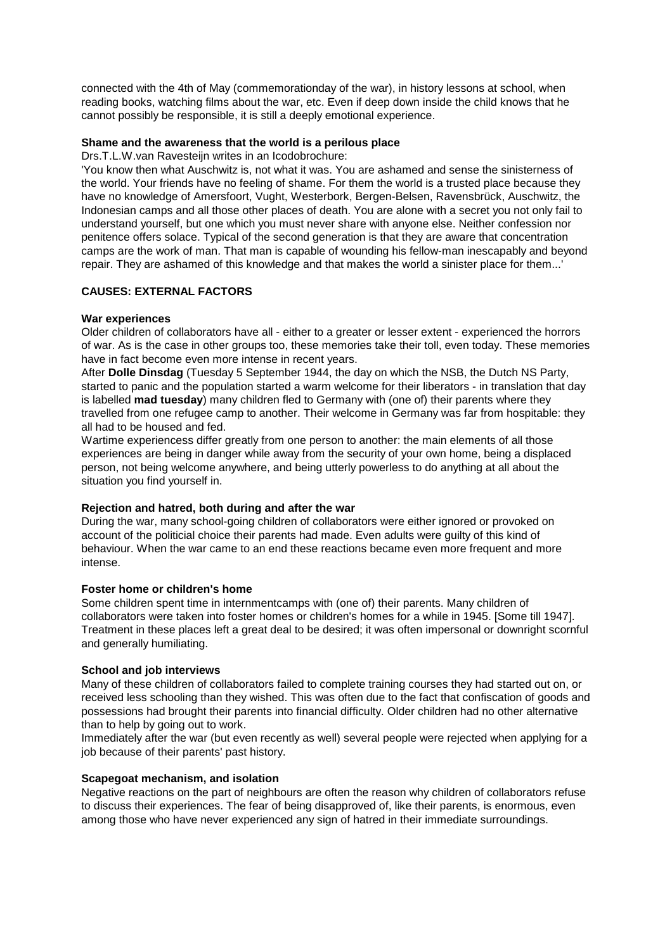connected with the 4th of May (commemorationday of the war), in history lessons at school, when reading books, watching films about the war, etc. Even if deep down inside the child knows that he cannot possibly be responsible, it is still a deeply emotional experience.

### **Shame and the awareness that the world is a perilous place**

Drs.T.L.W.van Ravesteijn writes in an Icodobrochure:

'You know then what Auschwitz is, not what it was. You are ashamed and sense the sinisterness of the world. Your friends have no feeling of shame. For them the world is a trusted place because they have no knowledge of Amersfoort, Vught, Westerbork, Bergen-Belsen, Ravensbrück, Auschwitz, the Indonesian camps and all those other places of death. You are alone with a secret you not only fail to understand yourself, but one which you must never share with anyone else. Neither confession nor penitence offers solace. Typical of the second generation is that they are aware that concentration camps are the work of man. That man is capable of wounding his fellow-man inescapably and beyond repair. They are ashamed of this knowledge and that makes the world a sinister place for them...'

# **CAUSES: EXTERNAL FACTORS**

### **War experiences**

Older children of collaborators have all - either to a greater or lesser extent - experienced the horrors of war. As is the case in other groups too, these memories take their toll, even today. These memories have in fact become even more intense in recent years.

After **Dolle Dinsdag** (Tuesday 5 September 1944, the day on which the NSB, the Dutch NS Party, started to panic and the population started a warm welcome for their liberators - in translation that day is labelled **mad tuesday**) many children fled to Germany with (one of) their parents where they travelled from one refugee camp to another. Their welcome in Germany was far from hospitable: they all had to be housed and fed.

Wartime experiencess differ greatly from one person to another: the main elements of all those experiences are being in danger while away from the security of your own home, being a displaced person, not being welcome anywhere, and being utterly powerless to do anything at all about the situation you find yourself in.

### **Rejection and hatred, both during and after the war**

During the war, many school-going children of collaborators were either ignored or provoked on account of the politicial choice their parents had made. Even adults were guilty of this kind of behaviour. When the war came to an end these reactions became even more frequent and more intense.

# **Foster home or children's home**

Some children spent time in internmentcamps with (one of) their parents. Many children of collaborators were taken into foster homes or children's homes for a while in 1945. [Some till 1947]. Treatment in these places left a great deal to be desired; it was often impersonal or downright scornful and generally humiliating.

# **School and job interviews**

Many of these children of collaborators failed to complete training courses they had started out on, or received less schooling than they wished. This was often due to the fact that confiscation of goods and possessions had brought their parents into financial difficulty. Older children had no other alternative than to help by going out to work.

Immediately after the war (but even recently as well) several people were rejected when applying for a job because of their parents' past history.

### **Scapegoat mechanism, and isolation**

Negative reactions on the part of neighbours are often the reason why children of collaborators refuse to discuss their experiences. The fear of being disapproved of, like their parents, is enormous, even among those who have never experienced any sign of hatred in their immediate surroundings.